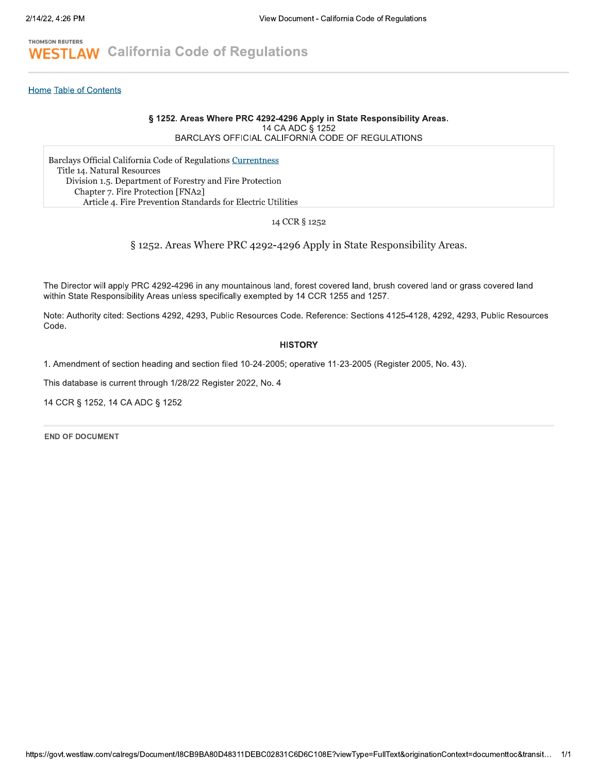**Home Table of Contents** 

### § 1252. Areas Where PRC 4292-4296 Apply in State Responsibility Areas. 14 CA ADC § 1252 BARCLAYS OFFICIAL CALIFORNIA CODE OF REGULATIONS

Barclays Official California Code of Regulations Currentness Title 14. Natural Resources Division 1.5. Department of Forestry and Fire Protection Chapter 7. Fire Protection [FNA2] Article 4. Fire Prevention Standards for Electric Utilities

## 14 CCR § 1252

§ 1252. Areas Where PRC 4292-4296 Apply in State Responsibility Areas.

The Director will apply PRC 4292-4296 in any mountainous land, forest covered land, brush covered land or grass covered land within State Responsibility Areas unless specifically exempted by 14 CCR 1255 and 1257.

Note: Authority cited: Sections 4292, 4293, Public Resources Code. Reference: Sections 4125-4128, 4292, 4293, Public Resources Code.

### **HISTORY**

1. Amendment of section heading and section filed 10-24-2005; operative 11-23-2005 (Register 2005, No. 43).

This database is current through 1/28/22 Register 2022, No. 4

14 CCR § 1252, 14 CA ADC § 1252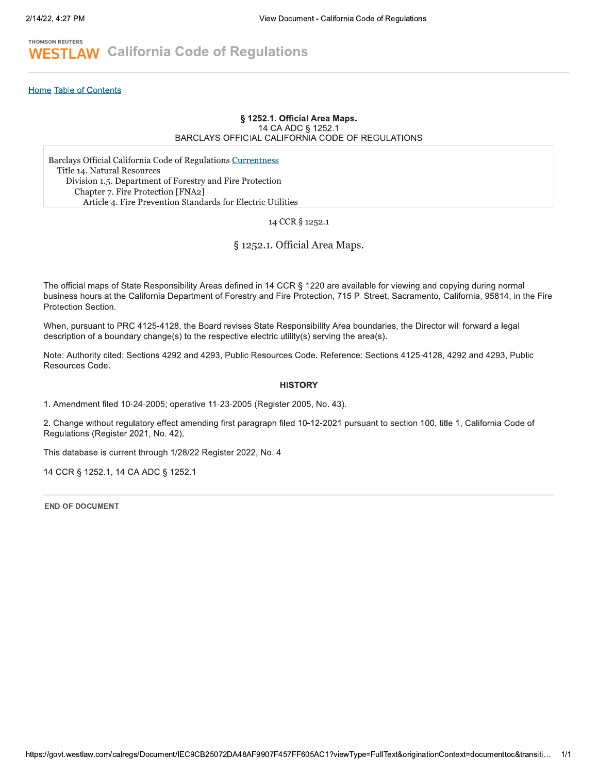**Home Table of Contents** 

## § 1252.1. Official Area Maps. 14 CA ADC § 1252.1 BARCLAYS OFFICIAL CALIFORNIA CODE OF REGULATIONS

Barclays Official California Code of Regulations Currentness Title 14. Natural Resources Division 1.5. Department of Forestry and Fire Protection Chapter 7. Fire Protection [FNA2] Article 4. Fire Prevention Standards for Electric Utilities

## 14 CCR § 1252.1

§ 1252.1. Official Area Maps.

The official maps of State Responsibility Areas defined in 14 CCR § 1220 are available for viewing and copying during normal business hours at the California Department of Forestry and Fire Protection, 715 P. Street, Sacramento, California, 95814, in the Fire Protection Section.

When, pursuant to PRC 4125-4128, the Board revises State Responsibility Area boundaries, the Director will forward a legal description of a boundary change(s) to the respective electric utility(s) serving the area(s).

Note: Authority cited: Sections 4292 and 4293, Public Resources Code. Reference: Sections 4125-4128, 4292 and 4293, Public Resources Code.

#### **HISTORY**

1. Amendment filed 10-24-2005; operative 11-23-2005 (Register 2005, No. 43).

2. Change without regulatory effect amending first paragraph filed 10-12-2021 pursuant to section 100, title 1, California Code of Regulations (Register 2021, No. 42).

This database is current through 1/28/22 Register 2022, No. 4

14 CCR § 1252.1, 14 CA ADC § 1252.1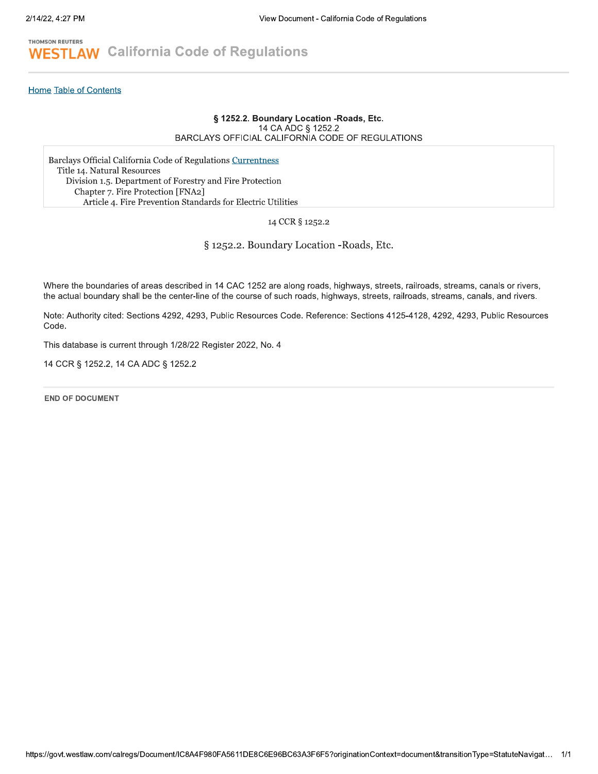#### **Home Table of Contents**

## § 1252.2. Boundary Location -Roads, Etc. 14 CA ADC § 1252.2 BARCLAYS OFFICIAL CALIFORNIA CODE OF REGULATIONS

Barclays Official California Code of Regulations Currentness Title 14. Natural Resources Division 1.5. Department of Forestry and Fire Protection Chapter 7. Fire Protection [FNA2] Article 4. Fire Prevention Standards for Electric Utilities

## 14 CCR § 1252.2

§ 1252.2. Boundary Location -Roads, Etc.

Where the boundaries of areas described in 14 CAC 1252 are along roads, highways, streets, railroads, streams, canals or rivers, the actual boundary shall be the center-line of the course of such roads, highways, streets, railroads, streams, canals, and rivers.

Note: Authority cited: Sections 4292, 4293, Public Resources Code. Reference: Sections 4125-4128, 4292, 4293, Public Resources Code.

This database is current through 1/28/22 Register 2022, No. 4

14 CCR § 1252.2, 14 CA ADC § 1252.2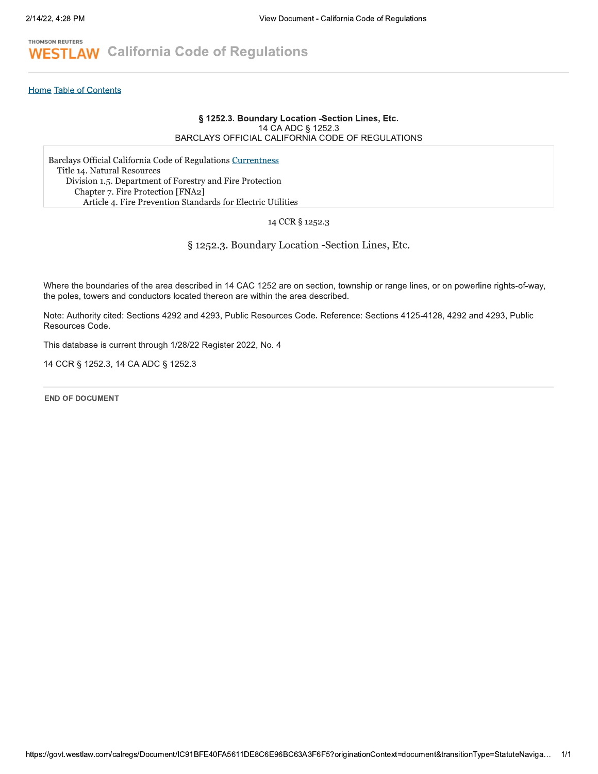#### **Home Table of Contents**

### § 1252.3. Boundary Location -Section Lines, Etc. 14 CA ADC § 1252.3 BARCLAYS OFFICIAL CALIFORNIA CODE OF REGULATIONS

Barclays Official California Code of Regulations Currentness Title 14. Natural Resources Division 1.5. Department of Forestry and Fire Protection Chapter 7. Fire Protection [FNA2] Article 4. Fire Prevention Standards for Electric Utilities

14 CCR § 1252.3

§ 1252.3. Boundary Location -Section Lines, Etc.

Where the boundaries of the area described in 14 CAC 1252 are on section, township or range lines, or on powerline rights-of-way, the poles, towers and conductors located thereon are within the area described.

Note: Authority cited: Sections 4292 and 4293, Public Resources Code. Reference: Sections 4125-4128, 4292 and 4293, Public Resources Code.

This database is current through 1/28/22 Register 2022, No. 4

14 CCR § 1252.3, 14 CA ADC § 1252.3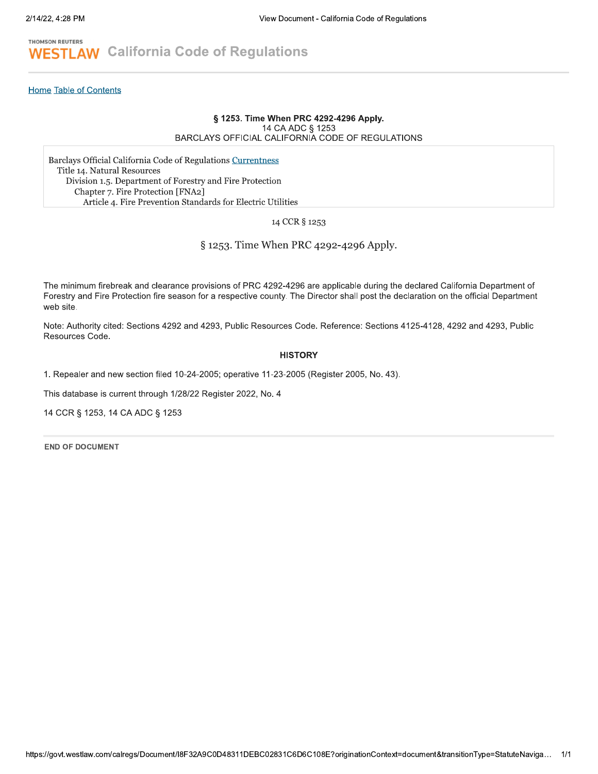#### **Home Table of Contents**

## § 1253. Time When PRC 4292-4296 Apply. 14 CA ADC § 1253 BARCLAYS OFFICIAL CALIFORNIA CODE OF REGULATIONS

Barclays Official California Code of Regulations Currentness Title 14. Natural Resources Division 1.5. Department of Forestry and Fire Protection Chapter 7. Fire Protection [FNA2] Article 4. Fire Prevention Standards for Electric Utilities

14 CCR § 1253

§ 1253. Time When PRC 4292-4296 Apply.

The minimum firebreak and clearance provisions of PRC 4292-4296 are applicable during the declared California Department of Forestry and Fire Protection fire season for a respective county. The Director shall post the declaration on the official Department web site.

Note: Authority cited: Sections 4292 and 4293, Public Resources Code. Reference: Sections 4125-4128, 4292 and 4293, Public Resources Code.

### **HISTORY**

1. Repealer and new section filed 10-24-2005; operative 11-23-2005 (Register 2005, No. 43).

This database is current through 1/28/22 Register 2022, No. 4

14 CCR § 1253, 14 CA ADC § 1253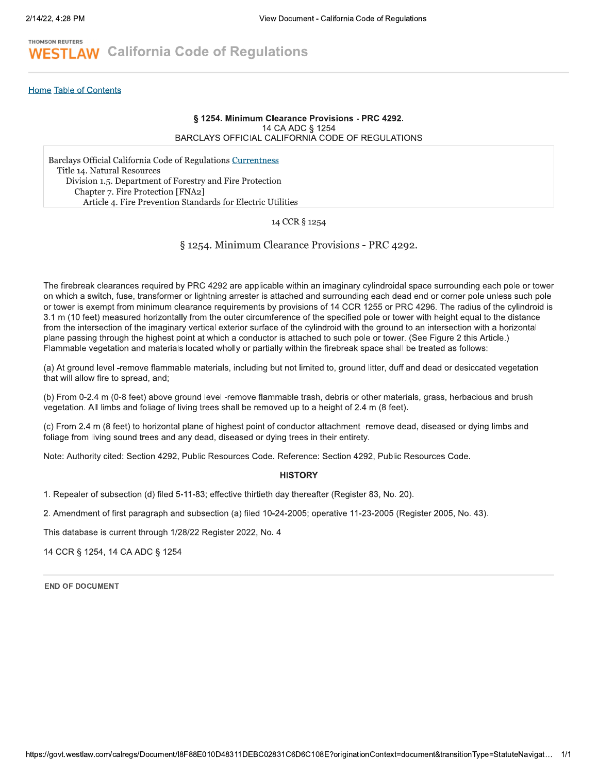**Home Table of Contents** 

## § 1254. Minimum Clearance Provisions - PRC 4292. 14 CA ADC § 1254 BARCLAYS OFFICIAL CALIFORNIA CODE OF REGULATIONS

Barclays Official California Code of Regulations Currentness Title 14. Natural Resources Division 1.5. Department of Forestry and Fire Protection Chapter 7. Fire Protection [FNA2] Article 4. Fire Prevention Standards for Electric Utilities

## 14 CCR § 1254

§ 1254. Minimum Clearance Provisions - PRC 4292.

The firebreak clearances required by PRC 4292 are applicable within an imaginary cylindroidal space surrounding each pole or tower on which a switch, fuse, transformer or lightning arrester is attached and surrounding each dead end or corner pole unless such pole or tower is exempt from minimum clearance requirements by provisions of 14 CCR 1255 or PRC 4296. The radius of the cylindroid is 3.1 m (10 feet) measured horizontally from the outer circumference of the specified pole or tower with height equal to the distance from the intersection of the imaginary vertical exterior surface of the cylindroid with the ground to an intersection with a horizontal plane passing through the highest point at which a conductor is attached to such pole or tower. (See Figure 2 this Article.) Flammable vegetation and materials located wholly or partially within the firebreak space shall be treated as follows:

(a) At ground level -remove flammable materials, including but not limited to, ground litter, duff and dead or desiccated vegetation that will allow fire to spread, and;

(b) From 0-2.4 m (0-8 feet) above ground level -remove flammable trash, debris or other materials, grass, herbacious and brush vegetation. All limbs and foliage of living trees shall be removed up to a height of 2.4 m (8 feet).

(c) From 2.4 m (8 feet) to horizontal plane of highest point of conductor attachment -remove dead, diseased or dying limbs and foliage from living sound trees and any dead, diseased or dying trees in their entirety.

Note: Authority cited: Section 4292, Public Resources Code. Reference: Section 4292, Public Resources Code.

### **HISTORY**

1. Repealer of subsection (d) filed 5-11-83; effective thirtieth day thereafter (Register 83, No. 20).

2. Amendment of first paragraph and subsection (a) filed 10-24-2005; operative 11-23-2005 (Register 2005, No. 43).

This database is current through 1/28/22 Register 2022, No. 4

14 CCR § 1254, 14 CA ADC § 1254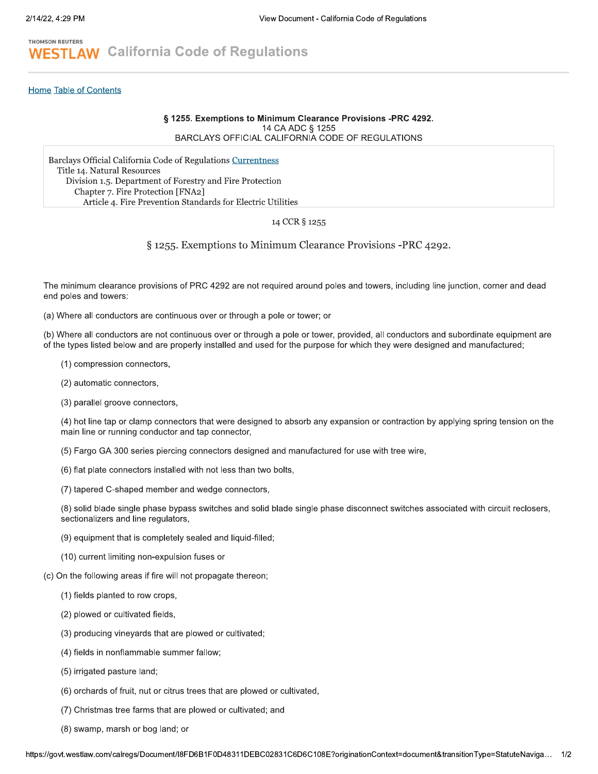#### **Home Table of Contents**

### § 1255. Exemptions to Minimum Clearance Provisions -PRC 4292. 14 CA ADC § 1255 BARCLAYS OFFICIAL CALIFORNIA CODE OF REGULATIONS

Barclays Official California Code of Regulations Currentness Title 14. Natural Resources Division 1.5. Department of Forestry and Fire Protection Chapter 7. Fire Protection [FNA2] Article 4. Fire Prevention Standards for Electric Utilities

### 14 CCR § 1255

## § 1255. Exemptions to Minimum Clearance Provisions -PRC 4292.

The minimum clearance provisions of PRC 4292 are not required around poles and towers, including line junction, corner and dead end poles and towers:

(a) Where all conductors are continuous over or through a pole or tower; or

(b) Where all conductors are not continuous over or through a pole or tower, provided, all conductors and subordinate equipment are of the types listed below and are properly installed and used for the purpose for which they were designed and manufactured;

- (1) compression connectors,
- (2) automatic connectors,
- (3) parallel groove connectors,

(4) hot line tap or clamp connectors that were designed to absorb any expansion or contraction by applying spring tension on the main line or running conductor and tap connector,

- (5) Fargo GA 300 series piercing connectors designed and manufactured for use with tree wire,
- (6) flat plate connectors installed with not less than two bolts,
- (7) tapered C-shaped member and wedge connectors,

(8) solid blade single phase bypass switches and solid blade single phase disconnect switches associated with circuit reclosers. sectionalizers and line regulators.

- (9) equipment that is completely sealed and liquid-filled;
- (10) current limiting non-expulsion fuses or
- (c) On the following areas if fire will not propagate thereon;
	- (1) fields planted to row crops,
	- (2) plowed or cultivated fields,
	- (3) producing vineyards that are plowed or cultivated;
	- (4) fields in nonflammable summer fallow;
	- (5) irrigated pasture land;
	- (6) orchards of fruit, nut or citrus trees that are plowed or cultivated,
	- (7) Christmas tree farms that are plowed or cultivated; and
	- (8) swamp, marsh or bog land; or